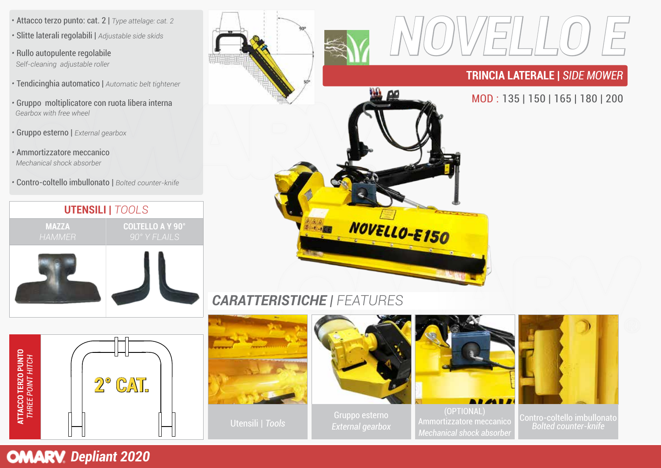- Attacco terzo punto: cat. 2 | *Type attelage: cat. 2 •* Slitte laterali regolabili | *Adjustable side skids*
- Rullo autopulente regolabile *Self-cleaning adjustable roller*
- Tendicinghia automatico | *Automatic belt tightener*
- Gruppo moltiplicatore con ruota libera interna *Gearbox with free wheel*
- Gruppo esterno | *External gearbox*
- Ammortizzatore meccanico *Mechanical shock absorber*
- Contro-coltello imbullonato | *Bolted counter-knife*





## *CARATTERISTICHE | FEATURES*





Utensili | *Tools*



Gruppo esterno



(OPTIONAL) Ammortizzatore meccanico *Mechanical shock absorber*



Contro-coltello imbullonato *Bolted counter-knife*

**OMARV** Depliant 2020